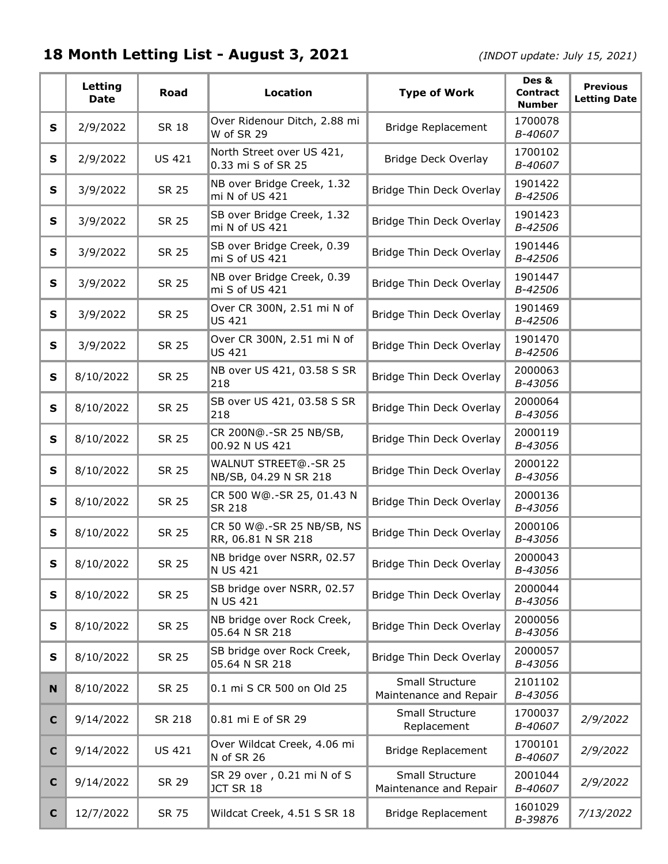## **18 Month Letting List - August 3, 2021** *(INDOT update: July 15, 2021)*

|             | Letting<br><b>Date</b> | <b>Road</b>   | <b>Location</b>                                 | <b>Type of Work</b>                       | Des &<br><b>Contract</b><br><b>Number</b> | <b>Previous</b><br><b>Letting Date</b> |
|-------------|------------------------|---------------|-------------------------------------------------|-------------------------------------------|-------------------------------------------|----------------------------------------|
| S           | 2/9/2022               | <b>SR 18</b>  | Over Ridenour Ditch, 2.88 mi<br>W of SR 29      | <b>Bridge Replacement</b>                 | 1700078<br>B-40607                        |                                        |
| S           | 2/9/2022               | <b>US 421</b> | North Street over US 421,<br>0.33 mi S of SR 25 | Bridge Deck Overlay                       | 1700102<br>B-40607                        |                                        |
| S           | 3/9/2022               | <b>SR 25</b>  | NB over Bridge Creek, 1.32<br>mi N of US 421    | Bridge Thin Deck Overlay                  | 1901422<br>B-42506                        |                                        |
| S           | 3/9/2022               | <b>SR 25</b>  | SB over Bridge Creek, 1.32<br>mi N of US 421    | Bridge Thin Deck Overlay                  | 1901423<br>B-42506                        |                                        |
| S           | 3/9/2022               | <b>SR 25</b>  | SB over Bridge Creek, 0.39<br>mi S of US 421    | Bridge Thin Deck Overlay                  | 1901446<br>B-42506                        |                                        |
| S           | 3/9/2022               | <b>SR 25</b>  | NB over Bridge Creek, 0.39<br>mi S of US 421    | Bridge Thin Deck Overlay                  | 1901447<br>B-42506                        |                                        |
| S           | 3/9/2022               | <b>SR 25</b>  | Over CR 300N, 2.51 mi N of<br><b>US 421</b>     | Bridge Thin Deck Overlay                  | 1901469<br>B-42506                        |                                        |
| S           | 3/9/2022               | <b>SR 25</b>  | Over CR 300N, 2.51 mi N of<br><b>US 421</b>     | Bridge Thin Deck Overlay                  | 1901470<br>B-42506                        |                                        |
| S           | 8/10/2022              | <b>SR 25</b>  | NB over US 421, 03.58 S SR<br>218               | Bridge Thin Deck Overlay                  | 2000063<br>B-43056                        |                                        |
| S           | 8/10/2022              | <b>SR 25</b>  | SB over US 421, 03.58 S SR<br>218               | Bridge Thin Deck Overlay                  | 2000064<br>B-43056                        |                                        |
| S           | 8/10/2022              | <b>SR 25</b>  | CR 200N@.-SR 25 NB/SB,<br>00.92 N US 421        | Bridge Thin Deck Overlay                  | 2000119<br>B-43056                        |                                        |
| S           | 8/10/2022              | <b>SR 25</b>  | WALNUT STREET@.-SR 25<br>NB/SB, 04.29 N SR 218  | Bridge Thin Deck Overlay                  | 2000122<br>B-43056                        |                                        |
| S           | 8/10/2022              | <b>SR 25</b>  | CR 500 W@.-SR 25, 01.43 N<br><b>SR 218</b>      | Bridge Thin Deck Overlay                  | 2000136<br>B-43056                        |                                        |
| S           | 8/10/2022              | <b>SR 25</b>  | CR 50 W@.-SR 25 NB/SB, NS<br>RR, 06.81 N SR 218 | Bridge Thin Deck Overlay                  | 2000106<br>B-43056                        |                                        |
| S           | 8/10/2022              | <b>SR 25</b>  | NB bridge over NSRR, 02.57<br><b>N US 421</b>   | Bridge Thin Deck Overlay                  | 2000043<br>B-43056                        |                                        |
| ${\bf S}$   | 8/10/2022              | <b>SR 25</b>  | SB bridge over NSRR, 02.57<br><b>N US 421</b>   | Bridge Thin Deck Overlay                  | 2000044<br>B-43056                        |                                        |
| S           | 8/10/2022              | <b>SR 25</b>  | NB bridge over Rock Creek,<br>05.64 N SR 218    | Bridge Thin Deck Overlay                  | 2000056<br>B-43056                        |                                        |
| ${\bf S}$   | 8/10/2022              | <b>SR 25</b>  | SB bridge over Rock Creek,<br>05.64 N SR 218    | Bridge Thin Deck Overlay                  | 2000057<br>B-43056                        |                                        |
| N           | 8/10/2022              | <b>SR 25</b>  | 0.1 mi S CR 500 on Old 25                       | Small Structure<br>Maintenance and Repair | 2101102<br>B-43056                        |                                        |
| $\mathbf c$ | 9/14/2022              | SR 218        | 0.81 mi E of SR 29                              | Small Structure<br>Replacement            | 1700037<br>B-40607                        | 2/9/2022                               |
| $\mathbf c$ | 9/14/2022              | <b>US 421</b> | Over Wildcat Creek, 4.06 mi<br>N of SR 26       | Bridge Replacement                        | 1700101<br>B-40607                        | 2/9/2022                               |
| $\mathbf C$ | 9/14/2022              | SR 29         | SR 29 over, 0.21 mi N of S<br>JCT SR 18         | Small Structure<br>Maintenance and Repair | 2001044<br>B-40607                        | 2/9/2022                               |
| $\mathbf c$ | 12/7/2022              | SR 75         | Wildcat Creek, 4.51 S SR 18                     | <b>Bridge Replacement</b>                 | 1601029<br>B-39876                        | 7/13/2022                              |